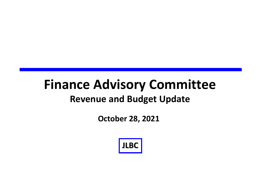## **Finance Advisory Committee Revenue and Budget Update**

**October 28, 2021**

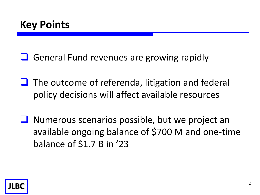General Fund revenues are growing rapidly

- $\Box$  The outcome of referenda, litigation and federal policy decisions will affect available resources
- $\Box$  Numerous scenarios possible, but we project an available ongoing balance of \$700 M and one-time balance of \$1.7 B in '23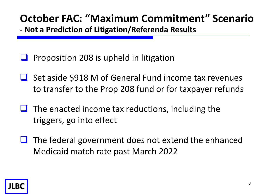## **October FAC: "Maximum Commitment" Scenario**

**- Not a Prediction of Litigation/Referenda Results**

- Proposition 208 is upheld in litigation
- $\Box$  Set aside \$918 M of General Fund income tax revenues to transfer to the Prop 208 fund or for taxpayer refunds
- $\Box$  The enacted income tax reductions, including the triggers, go into effect
- $\Box$  The federal government does not extend the enhanced Medicaid match rate past March 2022

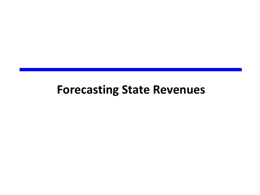#### **Forecasting State Revenues**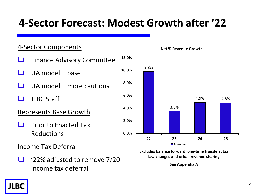#### **4-Sector Forecast: Modest Growth after '22**

#### 4-Sector Components

|          | <b>Finance Advisory Committee</b> | 12.          |
|----------|-----------------------------------|--------------|
|          | UA model - base                   | 10.          |
| $\sqcup$ | UA model – more cautious          | 8.           |
| u.       | <b>JLBC Staff</b>                 | 6.           |
|          | <b>Represents Base Growth</b>     | $\mathbf{A}$ |
|          | <b>Prior to Enacted Tax</b>       | 2.1          |
|          | <b>Reductions</b>                 | 0.0          |
|          |                                   |              |

#### Income Tax Deferral

□ '22% adjusted to remove 7/20 income tax deferral



**Excludes balance forward, one-time transfers, tax law changes and urban revenue sharing**

**See Appendix A**

#### **Net % Revenue Growth**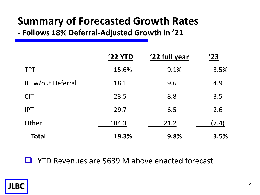#### **Summary of Forecasted Growth Rates**

**- Follows 18% Deferral-Adjusted Growth in '21** 

|                    | '22 YTD | '22 full year | '23   |
|--------------------|---------|---------------|-------|
| <b>TPT</b>         | 15.6%   | 9.1%          | 3.5%  |
| IIT w/out Deferral | 18.1    | 9.6           | 4.9   |
| <b>CIT</b>         | 23.5    | 8.8           | 3.5   |
| <b>IPT</b>         | 29.7    | 6.5           | 2.6   |
| Other              | 104.3   | 21.2          | (7.4) |
| <b>Total</b>       | 19.3%   | 9.8%          | 3.5%  |

■ YTD Revenues are \$639 M above enacted forecast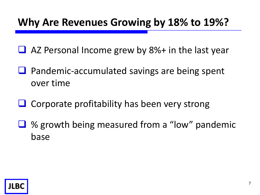#### **Why Are Revenues Growing by 18% to 19%?**

- $\Box$  AZ Personal Income grew by 8%+ in the last year
- $\Box$  Pandemic-accumulated savings are being spent over time
- $\Box$  Corporate profitability has been very strong
- $\Box$  % growth being measured from a "low" pandemic base

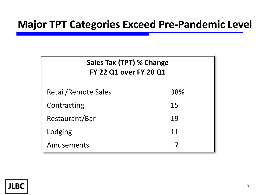#### **Major TPT Categories Exceed Pre-Pandemic Level**

| Sales Tax (TPT) % Change<br>FY 22 Q1 over FY 20 Q1 |     |  |  |  |
|----------------------------------------------------|-----|--|--|--|
| <b>Retail/Remote Sales</b>                         | 38% |  |  |  |
| Contracting                                        | 15  |  |  |  |
| Restaurant/Bar                                     | 19  |  |  |  |
| Lodging                                            | 11  |  |  |  |
| Amusements                                         |     |  |  |  |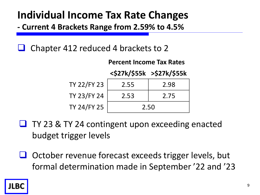#### **Individual Income Tax Rate Changes**

**- Current 4 Brackets Range from 2.59% to 4.5%**

 $\Box$  Chapter 412 reduced 4 brackets to 2

|                    | <b>Percent Income Tax Rates</b> |      |  |  |
|--------------------|---------------------------------|------|--|--|
|                    | <\$27k/\$55k >\$27k/\$55k       |      |  |  |
| <b>TY 22/FY 23</b> | 2.55                            | 2.98 |  |  |
| <b>TY 23/FY 24</b> | 2.53                            | 2.75 |  |  |
| <b>TY 24/FY 25</b> | 2.50                            |      |  |  |

- **□ TY 23 & TY 24 contingent upon exceeding enacted** budget trigger levels
- $\Box$  October revenue forecast exceeds trigger levels, but formal determination made in September '22 and '23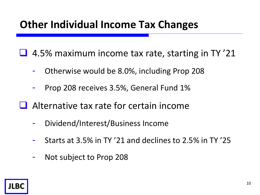#### **Other Individual Income Tax Changes**

 $\Box$  4.5% maximum income tax rate, starting in TY  $21$ 

- Otherwise would be 8.0%, including Prop 208
- Prop 208 receives 3.5%, General Fund 1%
- $\Box$  Alternative tax rate for certain income
	- Dividend/Interest/Business Income
	- Starts at 3.5% in TY '21 and declines to 2.5% in TY '25
	- Not subject to Prop 208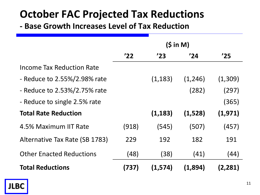### **October FAC Projected Tax Reductions**

**- Base Growth Increases Level of Tax Reduction**

|                                 |       | $(S \in M)$ |         |          |
|---------------------------------|-------|-------------|---------|----------|
|                                 | '22   | '23         | '24     | '25      |
| Income Tax Reduction Rate       |       |             |         |          |
| - Reduce to 2.55%/2.98% rate    |       | (1, 183)    | (1,246) | (1,309)  |
| - Reduce to 2.53%/2.75% rate    |       |             | (282)   | (297)    |
| - Reduce to single 2.5% rate    |       |             |         | (365)    |
| <b>Total Rate Reduction</b>     |       | (1, 183)    | (1,528) | (1, 971) |
| 4.5% Maximum IIT Rate           | (918) | (545)       | (507)   | (457)    |
| Alternative Tax Rate (SB 1783)  | 229   | 192         | 182     | 191      |
| <b>Other Enacted Reductions</b> | (48)  | (38)        | (41)    | (44)     |
| <b>Total Reductions</b>         | (737) | (1,574)     | (1,894) | (2,281)  |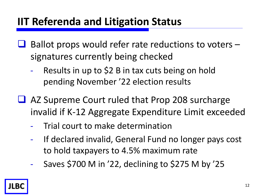#### **IIT Referenda and Litigation Status**

- $\Box$  Ballot props would refer rate reductions to voters  $$ signatures currently being checked
	- Results in up to \$2 B in tax cuts being on hold pending November '22 election results
- AZ Supreme Court ruled that Prop 208 surcharge invalid if K-12 Aggregate Expenditure Limit exceeded
	- Trial court to make determination
	- If declared invalid, General Fund no longer pays cost to hold taxpayers to 4.5% maximum rate
	- Saves \$700 M in '22, declining to \$275 M by '25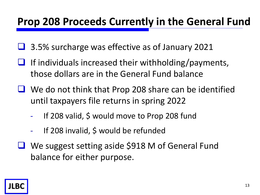#### **Prop 208 Proceeds Currently in the General Fund**

- **3.5% surcharge was effective as of January 2021**
- $\Box$  If individuals increased their withholding/payments, those dollars are in the General Fund balance
- $\Box$  We do not think that Prop 208 share can be identified until taxpayers file returns in spring 2022
	- If 208 valid, \$ would move to Prop 208 fund
	- If 208 invalid, \$ would be refunded
- We suggest setting aside \$918 M of General Fund balance for either purpose.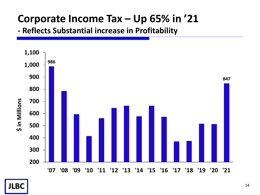### **Corporate Income Tax – Up 65% in '21**

**- Reflects Substantial increase in Profitability** 

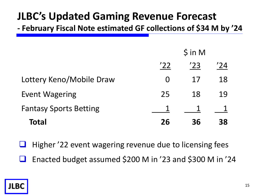#### **JLBC's Updated Gaming Revenue Forecast**

**- February Fiscal Note estimated GF collections of \$34 M by '24**

|                               | $\sin M$ |     |     |
|-------------------------------|----------|-----|-----|
|                               | '22      | '23 | '74 |
| Lottery Keno/Mobile Draw      | O        | 17  | 18  |
| <b>Event Wagering</b>         | 25       | 18  | 19  |
| <b>Fantasy Sports Betting</b> |          |     |     |
| Total                         | 26       | 36  | 38  |

 $\Box$  Higher '22 event wagering revenue due to licensing fees

 $\Box$  Enacted budget assumed \$200 M in '23 and \$300 M in '24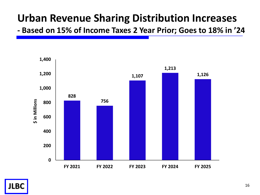### **Urban Revenue Sharing Distribution Increases**

**- Based on 15% of Income Taxes 2 Year Prior; Goes to 18% in '24**

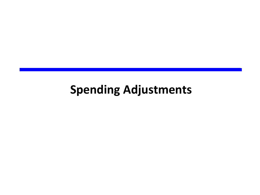## **Spending Adjustments**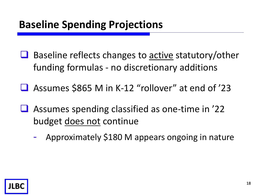#### **Baseline Spending Projections**

- Baseline reflects changes to active statutory/other funding formulas - no discretionary additions
- Assumes \$865 M in K-12 "rollover" at end of '23
- $\Box$  Assumes spending classified as one-time in '22 budget does not continue
	- Approximately \$180 M appears ongoing in nature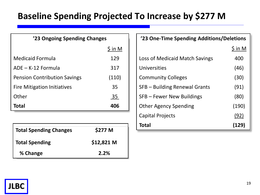#### **Baseline Spending Projected To Increase by \$277 M**

| '23 Ongoing Spending Changes        |          |
|-------------------------------------|----------|
|                                     | $\sin M$ |
| Medicaid Formula                    | 129      |
| ADE – K-12 Formula                  | 317      |
| <b>Pension Contribution Savings</b> | (110)    |
| <b>Fire Mitigation Initiatives</b>  | 35       |
| Other                               | 35       |
| <b>Total</b>                        | 406      |

| <b>Total Spending Changes</b> | \$277 M    |
|-------------------------------|------------|
| <b>Total Spending</b>         | \$12,821 M |
| % Change                      | 2.2%       |

| '23 One-Time Spending Additions/Deletions |         |  |  |  |  |
|-------------------------------------------|---------|--|--|--|--|
|                                           | \$ in M |  |  |  |  |
| Loss of Medicaid Match Savings            | 400     |  |  |  |  |
| Universities                              | (46)    |  |  |  |  |
| <b>Community Colleges</b>                 | (30)    |  |  |  |  |
| SFB - Building Renewal Grants             | (91)    |  |  |  |  |
| SFB – Fewer New Buildings                 | (80)    |  |  |  |  |
| <b>Other Agency Spending</b>              | (190)   |  |  |  |  |
| <b>Capital Projects</b>                   | (92)    |  |  |  |  |
| Total                                     | (129)   |  |  |  |  |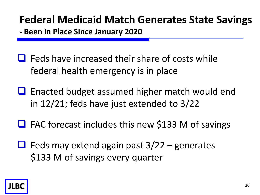## **Federal Medicaid Match Generates State Savings**

**- Been in Place Since January 2020**

- $\Box$  Feds have increased their share of costs while federal health emergency is in place
- $\Box$  Enacted budget assumed higher match would end in 12/21; feds have just extended to 3/22
- $\Box$  FAC forecast includes this new \$133 M of savings
- $\Box$  Feds may extend again past  $3/22$  generates \$133 M of savings every quarter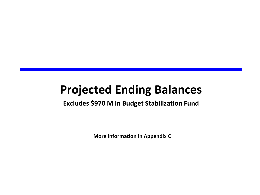### **Projected Ending Balances**

#### **Excludes \$970 M in Budget Stabilization Fund**

**More Information in Appendix C**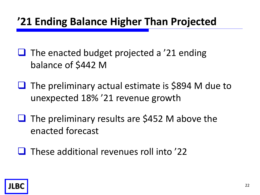#### **'21 Ending Balance Higher Than Projected**

- $\Box$  The enacted budget projected a '21 ending balance of \$442 M
- $\Box$  The preliminary actual estimate is \$894 M due to unexpected 18% '21 revenue growth
- $\Box$  The preliminary results are \$452 M above the enacted forecast
- $\Box$  These additional revenues roll into '22

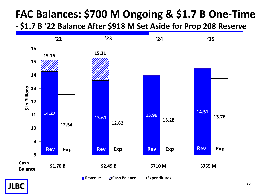# **FAC Balances: \$700 M Ongoing & \$1.7 B One-Time**

**- \$1.7 B '22 Balance After \$918 M Set Aside for Prop 208 Reserve**



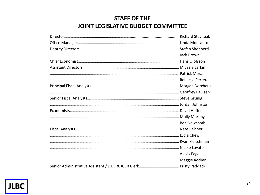#### **STAFF OF THE JOINT LEGISLATIVE BUDGET COMMITTEE**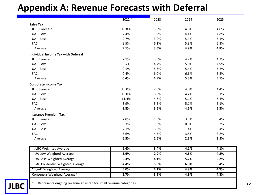#### **Appendix A: Revenue Forecasts with Deferral**

| <b>Sales Tax</b><br><b>JLBC Forecast</b><br>10.8%<br>4.0%<br>4.0%<br>3.5%<br>7.4%<br>1.2%<br>4.4%<br>4.8%<br>$UA - Low$<br>9.7%<br>$UA - Base$<br>3.0%<br>5.4%<br>5.1%<br><b>FAC</b><br>8.5%<br>6.1%<br>5.8%<br>5.3%<br>9.1%<br>4.8%<br>3.5%<br>4.9%<br>Average:<br>Individual Income Tax with Deferral<br>2.1%<br>4.2%<br>4.3%<br><b>JLBC Forecast</b><br>3.6%<br>$UA$ – Low<br>$-1.2%$<br>4.7%<br>5.0%<br>4.9%<br>0.1%<br>5.4%<br>5.2%<br>$UA - Base$<br>5.3%<br>0.4%<br>6.0%<br>6.6%<br>5.8%<br><b>FAC</b><br>0.4%<br>5.3%<br>5.1%<br>4.9%<br>Average:<br><b>Corporate Income Tax</b><br><b>JLBC Forecast</b><br>10.0%<br>2.5%<br>4.0%<br>4.4%<br>10.0%<br>4.2%<br>5.1%<br>$UA - Low$<br>3.3%<br>11.4%<br>4.6%<br>5.1%<br>6.4%<br>$UA - Base$<br><b>FAC</b><br>3.9%<br>5.1%<br>5.1%<br>3.5%<br>8.8%<br>3.5%<br>4.6%<br>5.3%<br>Average:<br><b>Insurance Premium Tax</b><br>7.0%<br><b>JLBC Forecast</b><br>1.5%<br>3.3%<br>3.4%<br>6.3%<br>$UA$ – Low<br>1.6%<br>0.9%<br>3.2%<br>7.1%<br>3.0%<br>$UA - Base$<br>1.4%<br>3.4%<br><b>FAC</b><br>5.6%<br>3.5%<br>3.8%<br>4.5%<br>6.5%<br>3.5%<br>2.6%<br>2.3%<br>Average:<br>6.6%<br>4.1%<br>4.1%<br><b>JLBC Weighted Average</b><br>3.4%<br>3.6%<br>4.5%<br>UA Low Weighted Average<br>2.9%<br>4.8%<br><b>UA Base Weighted Average</b><br>5.3%<br>5.2%<br>5.2%<br>4.1%<br>FAC Consensus Weighted Average<br>4.4%<br>6.0%<br>5.8%<br>5.4%<br>"Big-4" Weighted Average<br>5.0%<br>4.9%<br>4.9%<br>4.1%<br>Consensus Weighted Average*<br>5.7%<br>4.9%<br>4.8%<br>3.5% | $2022*$ | 2023 | 2024 | 2025 |
|----------------------------------------------------------------------------------------------------------------------------------------------------------------------------------------------------------------------------------------------------------------------------------------------------------------------------------------------------------------------------------------------------------------------------------------------------------------------------------------------------------------------------------------------------------------------------------------------------------------------------------------------------------------------------------------------------------------------------------------------------------------------------------------------------------------------------------------------------------------------------------------------------------------------------------------------------------------------------------------------------------------------------------------------------------------------------------------------------------------------------------------------------------------------------------------------------------------------------------------------------------------------------------------------------------------------------------------------------------------------------------------------------------------------------------------------------------------------------------------------------------------------|---------|------|------|------|
|                                                                                                                                                                                                                                                                                                                                                                                                                                                                                                                                                                                                                                                                                                                                                                                                                                                                                                                                                                                                                                                                                                                                                                                                                                                                                                                                                                                                                                                                                                                      |         |      |      |      |
|                                                                                                                                                                                                                                                                                                                                                                                                                                                                                                                                                                                                                                                                                                                                                                                                                                                                                                                                                                                                                                                                                                                                                                                                                                                                                                                                                                                                                                                                                                                      |         |      |      |      |
|                                                                                                                                                                                                                                                                                                                                                                                                                                                                                                                                                                                                                                                                                                                                                                                                                                                                                                                                                                                                                                                                                                                                                                                                                                                                                                                                                                                                                                                                                                                      |         |      |      |      |
|                                                                                                                                                                                                                                                                                                                                                                                                                                                                                                                                                                                                                                                                                                                                                                                                                                                                                                                                                                                                                                                                                                                                                                                                                                                                                                                                                                                                                                                                                                                      |         |      |      |      |
|                                                                                                                                                                                                                                                                                                                                                                                                                                                                                                                                                                                                                                                                                                                                                                                                                                                                                                                                                                                                                                                                                                                                                                                                                                                                                                                                                                                                                                                                                                                      |         |      |      |      |
|                                                                                                                                                                                                                                                                                                                                                                                                                                                                                                                                                                                                                                                                                                                                                                                                                                                                                                                                                                                                                                                                                                                                                                                                                                                                                                                                                                                                                                                                                                                      |         |      |      |      |
|                                                                                                                                                                                                                                                                                                                                                                                                                                                                                                                                                                                                                                                                                                                                                                                                                                                                                                                                                                                                                                                                                                                                                                                                                                                                                                                                                                                                                                                                                                                      |         |      |      |      |
|                                                                                                                                                                                                                                                                                                                                                                                                                                                                                                                                                                                                                                                                                                                                                                                                                                                                                                                                                                                                                                                                                                                                                                                                                                                                                                                                                                                                                                                                                                                      |         |      |      |      |
|                                                                                                                                                                                                                                                                                                                                                                                                                                                                                                                                                                                                                                                                                                                                                                                                                                                                                                                                                                                                                                                                                                                                                                                                                                                                                                                                                                                                                                                                                                                      |         |      |      |      |
|                                                                                                                                                                                                                                                                                                                                                                                                                                                                                                                                                                                                                                                                                                                                                                                                                                                                                                                                                                                                                                                                                                                                                                                                                                                                                                                                                                                                                                                                                                                      |         |      |      |      |
|                                                                                                                                                                                                                                                                                                                                                                                                                                                                                                                                                                                                                                                                                                                                                                                                                                                                                                                                                                                                                                                                                                                                                                                                                                                                                                                                                                                                                                                                                                                      |         |      |      |      |
|                                                                                                                                                                                                                                                                                                                                                                                                                                                                                                                                                                                                                                                                                                                                                                                                                                                                                                                                                                                                                                                                                                                                                                                                                                                                                                                                                                                                                                                                                                                      |         |      |      |      |
|                                                                                                                                                                                                                                                                                                                                                                                                                                                                                                                                                                                                                                                                                                                                                                                                                                                                                                                                                                                                                                                                                                                                                                                                                                                                                                                                                                                                                                                                                                                      |         |      |      |      |
|                                                                                                                                                                                                                                                                                                                                                                                                                                                                                                                                                                                                                                                                                                                                                                                                                                                                                                                                                                                                                                                                                                                                                                                                                                                                                                                                                                                                                                                                                                                      |         |      |      |      |
|                                                                                                                                                                                                                                                                                                                                                                                                                                                                                                                                                                                                                                                                                                                                                                                                                                                                                                                                                                                                                                                                                                                                                                                                                                                                                                                                                                                                                                                                                                                      |         |      |      |      |
|                                                                                                                                                                                                                                                                                                                                                                                                                                                                                                                                                                                                                                                                                                                                                                                                                                                                                                                                                                                                                                                                                                                                                                                                                                                                                                                                                                                                                                                                                                                      |         |      |      |      |
|                                                                                                                                                                                                                                                                                                                                                                                                                                                                                                                                                                                                                                                                                                                                                                                                                                                                                                                                                                                                                                                                                                                                                                                                                                                                                                                                                                                                                                                                                                                      |         |      |      |      |
|                                                                                                                                                                                                                                                                                                                                                                                                                                                                                                                                                                                                                                                                                                                                                                                                                                                                                                                                                                                                                                                                                                                                                                                                                                                                                                                                                                                                                                                                                                                      |         |      |      |      |
|                                                                                                                                                                                                                                                                                                                                                                                                                                                                                                                                                                                                                                                                                                                                                                                                                                                                                                                                                                                                                                                                                                                                                                                                                                                                                                                                                                                                                                                                                                                      |         |      |      |      |
|                                                                                                                                                                                                                                                                                                                                                                                                                                                                                                                                                                                                                                                                                                                                                                                                                                                                                                                                                                                                                                                                                                                                                                                                                                                                                                                                                                                                                                                                                                                      |         |      |      |      |
|                                                                                                                                                                                                                                                                                                                                                                                                                                                                                                                                                                                                                                                                                                                                                                                                                                                                                                                                                                                                                                                                                                                                                                                                                                                                                                                                                                                                                                                                                                                      |         |      |      |      |
|                                                                                                                                                                                                                                                                                                                                                                                                                                                                                                                                                                                                                                                                                                                                                                                                                                                                                                                                                                                                                                                                                                                                                                                                                                                                                                                                                                                                                                                                                                                      |         |      |      |      |
|                                                                                                                                                                                                                                                                                                                                                                                                                                                                                                                                                                                                                                                                                                                                                                                                                                                                                                                                                                                                                                                                                                                                                                                                                                                                                                                                                                                                                                                                                                                      |         |      |      |      |
|                                                                                                                                                                                                                                                                                                                                                                                                                                                                                                                                                                                                                                                                                                                                                                                                                                                                                                                                                                                                                                                                                                                                                                                                                                                                                                                                                                                                                                                                                                                      |         |      |      |      |
|                                                                                                                                                                                                                                                                                                                                                                                                                                                                                                                                                                                                                                                                                                                                                                                                                                                                                                                                                                                                                                                                                                                                                                                                                                                                                                                                                                                                                                                                                                                      |         |      |      |      |
|                                                                                                                                                                                                                                                                                                                                                                                                                                                                                                                                                                                                                                                                                                                                                                                                                                                                                                                                                                                                                                                                                                                                                                                                                                                                                                                                                                                                                                                                                                                      |         |      |      |      |
|                                                                                                                                                                                                                                                                                                                                                                                                                                                                                                                                                                                                                                                                                                                                                                                                                                                                                                                                                                                                                                                                                                                                                                                                                                                                                                                                                                                                                                                                                                                      |         |      |      |      |
|                                                                                                                                                                                                                                                                                                                                                                                                                                                                                                                                                                                                                                                                                                                                                                                                                                                                                                                                                                                                                                                                                                                                                                                                                                                                                                                                                                                                                                                                                                                      |         |      |      |      |
|                                                                                                                                                                                                                                                                                                                                                                                                                                                                                                                                                                                                                                                                                                                                                                                                                                                                                                                                                                                                                                                                                                                                                                                                                                                                                                                                                                                                                                                                                                                      |         |      |      |      |
|                                                                                                                                                                                                                                                                                                                                                                                                                                                                                                                                                                                                                                                                                                                                                                                                                                                                                                                                                                                                                                                                                                                                                                                                                                                                                                                                                                                                                                                                                                                      |         |      |      |      |
|                                                                                                                                                                                                                                                                                                                                                                                                                                                                                                                                                                                                                                                                                                                                                                                                                                                                                                                                                                                                                                                                                                                                                                                                                                                                                                                                                                                                                                                                                                                      |         |      |      |      |

**JLBC**  $\left| \begin{array}{ccc} * & \text{Represents ongoing revenue adjusted for small revenue categories.} \end{array} \right|$  25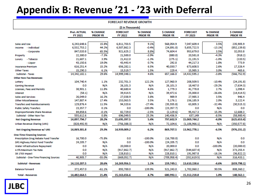#### **Appendix B: Revenue '21 - '23 with Deferral**

| <b>FORECAST REVENUE GROWTH</b>                |                                |                             |                            |                             |                                    |                            |                             |                                    |
|-----------------------------------------------|--------------------------------|-----------------------------|----------------------------|-----------------------------|------------------------------------|----------------------------|-----------------------------|------------------------------------|
|                                               | (\$ in Thousands)              |                             |                            |                             |                                    |                            |                             |                                    |
|                                               | <b>Prel. ACTUAL</b><br>FY 2021 | % CHANGE<br><b>PRIOR YR</b> | <b>FORECAST</b><br>FY 2022 | % CHANGE<br><b>PRIOR YR</b> | <b>S CHANGE</b><br><b>PRIOR YR</b> | <b>FORECAST</b><br>FY 2023 | % CHANGE<br><b>PRIOR YR</b> | <b>S CHANGE</b><br><b>PRIOR YR</b> |
|                                               |                                |                             |                            |                             |                                    |                            |                             |                                    |
| Sales and Use                                 | 6,243,648.6                    | 15.8%                       | 6,811,703.5                | 9.1%                        | 568,054.9                          | 7,047,609.4                | 3.5%                        | 235,905.9                          |
| - Individual<br>Income                        | 6,532,753.2                    | 44.2%                       | 6,507,862.3                | $-0.4%$                     | (24.891.0)                         | 5,655,722.5                | $-13.1%$                    | (852, 139.8)                       |
| - Corporate                                   | 847,020.8                      | 65.5%                       | 921,625.2                  | 8.8%                        | 74,604.4                           | 953,679.0                  | 3.5%                        | 32,053.8                           |
| Property                                      | 22,380.0                       | $-7.3%$                     | 21,500.0                   | $-3.9%$                     | (880.0)                            | 20,581.8                   | $-4.3%$                     | (918.2)                            |
| - Tobacco<br>Luxury                           | 21.687.1                       | 3.9%                        | 21,412.0                   | $-1.3%$                     | (275.1)                            | 21.191.5                   | $-1.096$                    | (220.5)                            |
| - Liguor                                      | 43,150.6                       | 19.0%                       | 43,443.4                   | 0.7%                        | 292.8                              | 44,217.3                   | 1.8%                        | 773.9                              |
| <b>Insurance Premium</b>                      | 616,251.4                      | 15.2%                       | 656,282.1                  | 6.5%                        | 40,030.7                           | 673,608.5                  | 2.6%                        | 17.326.4                           |
| <b>Other Taxes</b>                            | 15,290.3                       | 6.1%                        | 15,519.7                   | 1.5%                        | 229.4                              | 15,985.3                   | 3.0%                        | 465.6                              |
| Subtotal - Taxes                              | 14,342,182.1                   | 29.6%                       | 14,999,348.1               | 4.6%                        | 657,166.0                          | 14,432,595.2               | $-3.8%$                     | (566, 752.9)                       |
| <b>Other Non-Tax Revenues:</b>                |                                |                             |                            |                             |                                    |                            |                             |                                    |
| Lottery                                       | 104,740.4                      | 1.1%                        | 232,701.3                  | 122.2%                      | 127,960.9                          | 208,509.5                  | $-10.4%$                    | (24, 191.8)                        |
| <b>Gaming Revenue</b>                         | 0.0                            | N/A                         | 26,101.3                   | N/A                         | 26,101.3                           | 18,467.0                   | $-29.2%$                    | (7,634.3)                          |
| <b>Licenses, Fees and Permits</b>             | 38,901.1                       | 11.8%                       | 40,680.4                   | 4.6%                        | 1,779.3                            | 41,778.8                   | 2.7%                        | 1,098.4                            |
| <b>Interest</b>                               | (58.1)                         | N/A                         | 39,414.5                   | N/A                         | 39,472.6                           | 25,000.0                   | $-36.6%$                    | (14, 414.5)                        |
| <b>Sales and Services</b>                     | 26,049.0                       | 16.2%                       | 27,038.9                   | 3.8%                        | 989.9                              | 27,985.3                   | 3.5%                        | 946.4                              |
| <b>Other Miscellaneous</b>                    | 147,887.4                      | 17.4%                       | 153,063.5                  | 3.5%                        | 5.176.1                            | 156,185.9                  | 2.0%                        | 3.122.4                            |
| <b>Transfers and Reimbursements</b>           | 129,876.4                      | 11.5%                       | 94,320.6                   | $-27.4%$                    | (35, 555.8)                        | 63,805.3                   | $-32.4%$                    | (30,515.3)                         |
| <b>Public Safety Transfers</b>                | 23,357.7                       | 0.1%                        | 0.0                        | $-100.0%$                   | (23, 357.7)                        | 0.0                        | N/A                         | 0.0                                |
| <b>Disproportionate Share Revenue</b>         | 84.858.6                       | $-0.1%$                     | 82.729.0                   | $-2.5%$                     | (2.129.6)                          | 95.417.3                   | 15.3%                       | 12,688.3                           |
| Subtotal - Other Non-Tax                      | 555.612.6                      | 0.8%                        | 696,049.5                  | 25.3%                       | 140,436.9                          | 637,149                    | $-8.5%$                     | (58,900.4)                         |
| <b>Net Ongoing Revenue</b>                    | 14,897,794,7                   | 28.2%                       | 15,695,397.5               | 5.4%                        | 797,602.9                          | 15,069,744.2               | $-4.0%$                     | (625, 653.4)                       |
| <b>Urban Revenue Sharing (URS)</b>            | (828,492.9)                    | N/A                         | (756.388.3)                | N/A                         | 72,104.6                           | (1.106.966.1)              | N/A                         | (350,577.8)                        |
| Net Ongoing Revenue w/ URS                    | 14,069,301.8                   | 29.3%                       | 14.939.009.2               | 6.2%                        | 869.707.5                          | 13.962.778.1               | $-6.5%$                     | (976, 231.2)                       |
| <b>One-Time Financing Sources:</b>            |                                |                             |                            |                             |                                    |                            |                             |                                    |
| <b>Prescription Drug Rebate Fund Transfer</b> | 16,700.0                       | $-75.8%$                    | 0.0                        | $-100.0%$                   | (16,700.0)                         | 0.0                        | N/A                         | 0.0                                |
| DPS Highway Patrol Fund Transfer              | 24.205.7                       | N/A                         | 0.0                        | $-100.0%$                   | (24, 205.7)                        | 0.0                        | N/A                         | 0.0                                |
| Water Infrastructure Repayment                | 0.0                            | N/A                         | 20,000.0                   | N/A                         | 20,000.0                           | 0.0                        | $-100.0%$                   | (20,000.0)                         |
| 4.5% Maximum Tax Rate                         | 0.0                            | N/A                         | (917, 862.7)               | N/A                         | (917, 862.7)                       | (544, 607.4)               | N/A                         | 373,255.4                          |
| SB 1783 Impact                                | 0.0                            | N/A                         | 228,810.1                  | N/A                         | 228,810.1                          | 191,987.8                  | $-16.1%$                    | (36, 822.2)                        |
| Subtotal - One-Time Financing Sources         | 40,905.7                       | -55.0%                      | (669,052.7)                | N/A                         | (709, 958.4)                       | (352, 619.5)               | N/A                         | 316,433.1                          |
| <b>Subtotal - Revenues</b>                    | 14,110,207.5                   | 28.6%                       | 14,269,956.5               | 1.1%                        | 159,749.1                          | 13,610,158.6               | $-4.6%$                     | (659, 798.1)                       |
| <b>Balance Forward</b>                        | 372,457.0                      | $-61.1%$                    | 893,700.0                  | 139.9%                      | 521,243.0                          | 1,702,060.2                | 90.5%                       | 808,360.2                          |
| <b>Total - Resources</b>                      | 14,482,664.5                   | 21.4%                       | 15,163,656.6               | 4.7%                        | 680,992.1                          | 15,312,218.8               | 1.0%                        | 148,562.1                          |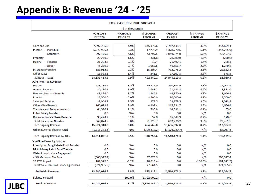#### **Appendix B: Revenue '24 - '25**

|                                        |                            | <b>FORECAST REVENUE GROWTH</b> |                                    |                            |                             |                                     |  |  |
|----------------------------------------|----------------------------|--------------------------------|------------------------------------|----------------------------|-----------------------------|-------------------------------------|--|--|
| (\$ in Thousands)                      |                            |                                |                                    |                            |                             |                                     |  |  |
|                                        | <b>FORECAST</b><br>FY 2024 | % CHANGE<br><b>PRIOR YR</b>    | <b>S CHANGE</b><br><b>PRIOR YR</b> | <b>FORECAST</b><br>FY 2025 | % CHANGE<br><b>PRIOR YR</b> | <b>\$ CHANGE</b><br><b>PRIOR YR</b> |  |  |
| Sales and Use                          | 7,392,786.0                | 4.9%                           | 345,176.6                          | 7,747,445.1                | 4.8%                        | 354,659.1                           |  |  |
| Income - Individual                    | 5,672,996.4                | 0.3%                           | 17,273.9                           | 5,328,770.5                | $-6.1%$                     | (344, 225.9)                        |  |  |
| - Corporate                            | 997,476.5                  | 4.6%                           | 43,797.5                           | 1,049,974.0                | 5.3%                        | 52,497.5                            |  |  |
| Property                               | 20,250.0                   | $-1.6%$                        | (331.8)                            | 20,000.0                   | $-1.2%$                     | (250.0)                             |  |  |
| - Tobacco<br>Luxury                    | 21,203.8                   | 0.1%                           | 12.4                               | 21,492.1                   | 1.4%                        | 288.3                               |  |  |
| - Liquor                               | 45,280.9                   | 2.4%                           | 1,063.6                            | 46,551.7                   | 2.8%                        | 1,270.8                             |  |  |
| <b>Insurance Premium</b>               | 688,912.8                  | 2.3%                           | 15,304.4                           | 712,775.2                  | 3.5%                        | 23,862.3                            |  |  |
| <b>Other Taxes</b>                     | 16,528.8                   | 3.4%                           | 543.5                              | 17,107.3                   | 3.5%                        | 578.5                               |  |  |
| Subtotal - Taxes                       | 14,855,435.2               | 2.9%                           | 422,840.1                          | 14,944,115.8               | 0.6%                        | 88,680.5                            |  |  |
| <b>Other Non-Tax Revenues:</b>         |                            |                                |                                    |                            |                             |                                     |  |  |
| Lottery                                | 228,286.5                  | 9.5%                           | 19,777.0                           | 240,334.9                  | 5.3%                        | 12,048.4                            |  |  |
| <b>Gaming Revenue</b>                  | 20,110.2                   | 8.9%                           | 1,643.2                            | 21,421.2                   | 6.5%                        | 1,311.0                             |  |  |
| Licenses, Fees and Permits             | 43,324.6                   | 3.7%                           | 1,545.8                            | 44,970.9                   | 3.8%                        | 1,646.3                             |  |  |
| Interest                               | 27,500.0                   | 10.0%                          | 2,500.0                            | 30,000.0                   | 9.1%                        | 2,500.0                             |  |  |
| Sales and Services                     | 28,964.7                   | 3.5%                           | 979.5                              | 29,978.5                   | 3.5%                        | 1,013.8                             |  |  |
| <b>Other Miscellaneous</b>             | 160,678.3                  | 2.9%                           | 4,492.4                            | 165,334.7                  | 2.9%                        | 4,656.4                             |  |  |
| <b>Transfers and Reimbursements</b>    | 64,536.1                   | 1.1%                           | 730.8                              | 64,591.1                   | 0.1%                        | 55.0                                |  |  |
| <b>Public Safety Transfers</b>         | 0.0                        | N/A                            | 0.0                                | 0.0                        | N/A                         | 0.0                                 |  |  |
| Disproportionate Share Revenue         | 95,474.3                   | 0.1%                           | 57.0                               | 95,644.9                   | 0.2%                        | 170.6                               |  |  |
| Subtotal - Other Non-Tax               | 668,874.8                  | 5.0%                           | 31,725.7                           | 692,276.2                  | 3.5%                        | 23,401.5                            |  |  |
| <b>Net Ongoing Revenue</b>             | 15,524,310.0               | 3.0%                           | 454,565.8                          | 15,636,392.0               | 0.7%                        | 112,082.0                           |  |  |
| Urban Revenue Sharing (URS)            | (1,213,278.3)              | N/A                            | (106, 312.2)                       | (1, 126, 220.7)            | N/A                         | 87,057.5                            |  |  |
| Net Ongoing Revenue w/ URS             | 14,311,031.7               | 2.5%                           | 348,253.6                          | 14,510,171.3               | 1.4%                        | 199,139.5                           |  |  |
| <b>One-Time Financing Sources:</b>     |                            |                                |                                    |                            |                             |                                     |  |  |
| Prescription Drug Rebate Fund Transfer | 0.0                        | N/A                            | 0.0                                | 0.0                        | N/A                         | 0.0                                 |  |  |
| DPS Highway Patrol Fund Transfer       | 0.0                        | N/A                            | 0.0                                | 0.0                        | N/A                         | 0.0                                 |  |  |
| Water Infrastructure Repayment         | 0.0                        | N/A                            | 0.0                                | 0.0                        | N/A                         | 0.0                                 |  |  |
| 4.5% Maximum Tax Rate                  | (506, 927.4)               | N/A                            | 37,679.9                           | 0.0                        | N/A                         | 506,927.4                           |  |  |
| SB 1783 Impact                         | 181,972.5                  | $-5.2%$                        | (10, 015.4)                        | 0.0                        | $-100.0\%$                  | (181, 972.5)                        |  |  |
| Subtotal - One-Time Financing Sources  | (324, 955.0)               | N/A                            | 27,664.5                           | 0.0                        | N/A                         | 324,955.0                           |  |  |
| <b>Subtotal - Revenues</b>             | 13,986,076.8               | 2.8%                           | 375,918.1                          | 14,510,171.3               | 3.7%                        | 524,094.5                           |  |  |
| <b>Balance Forward</b>                 |                            | $-100.0\%$                     | (1,702,060.2)                      |                            | N/A                         | 0.0                                 |  |  |
| <b>Total - Resources</b>               | 13,986,076.8               | $-8.7%$                        | (1,326,142.1)                      | 14,510,171.3               | 3.7%                        | 524,094.5                           |  |  |